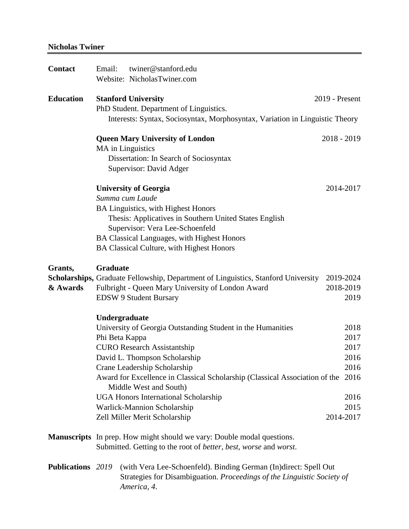## **Nicholas Twiner**

| <b>Contact</b>           | Email:                                                                                                        | twiner@stanford.edu<br>Website: NicholasTwiner.com                                                                                                         |               |  |  |  |
|--------------------------|---------------------------------------------------------------------------------------------------------------|------------------------------------------------------------------------------------------------------------------------------------------------------------|---------------|--|--|--|
|                          |                                                                                                               |                                                                                                                                                            |               |  |  |  |
| <b>Education</b>         | <b>Stanford University</b>                                                                                    | 2019 - Present                                                                                                                                             |               |  |  |  |
|                          |                                                                                                               | PhD Student. Department of Linguistics.                                                                                                                    |               |  |  |  |
|                          | Interests: Syntax, Sociosyntax, Morphosyntax, Variation in Linguistic Theory                                  |                                                                                                                                                            |               |  |  |  |
|                          |                                                                                                               | <b>Queen Mary University of London</b>                                                                                                                     | $2018 - 2019$ |  |  |  |
|                          |                                                                                                               | MA in Linguistics                                                                                                                                          |               |  |  |  |
|                          | Dissertation: In Search of Sociosyntax                                                                        |                                                                                                                                                            |               |  |  |  |
|                          |                                                                                                               | Supervisor: David Adger                                                                                                                                    |               |  |  |  |
|                          | <b>University of Georgia</b>                                                                                  | 2014-2017                                                                                                                                                  |               |  |  |  |
|                          |                                                                                                               | Summa cum Laude                                                                                                                                            |               |  |  |  |
|                          |                                                                                                               | BA Linguistics, with Highest Honors                                                                                                                        |               |  |  |  |
|                          |                                                                                                               | Thesis: Applicatives in Southern United States English<br>Supervisor: Vera Lee-Schoenfeld                                                                  |               |  |  |  |
|                          |                                                                                                               | BA Classical Languages, with Highest Honors                                                                                                                |               |  |  |  |
|                          |                                                                                                               | BA Classical Culture, with Highest Honors                                                                                                                  |               |  |  |  |
| Grants,                  | <b>Graduate</b>                                                                                               |                                                                                                                                                            |               |  |  |  |
|                          |                                                                                                               | Scholarships, Graduate Fellowship, Department of Linguistics, Stanford University                                                                          | 2019-2024     |  |  |  |
| & Awards                 |                                                                                                               | Fulbright - Queen Mary University of London Award                                                                                                          | 2018-2019     |  |  |  |
|                          |                                                                                                               | <b>EDSW 9 Student Bursary</b>                                                                                                                              | 2019          |  |  |  |
|                          |                                                                                                               | Undergraduate                                                                                                                                              |               |  |  |  |
|                          |                                                                                                               | University of Georgia Outstanding Student in the Humanities                                                                                                | 2018          |  |  |  |
|                          | Phi Beta Kappa                                                                                                |                                                                                                                                                            | 2017          |  |  |  |
|                          |                                                                                                               | <b>CURO Research Assistantship</b>                                                                                                                         | 2017          |  |  |  |
|                          |                                                                                                               | David L. Thompson Scholarship                                                                                                                              | 2016          |  |  |  |
|                          |                                                                                                               | Crane Leadership Scholarship                                                                                                                               | 2016          |  |  |  |
|                          | Award for Excellence in Classical Scholarship (Classical Association of the<br>2016<br>Middle West and South) |                                                                                                                                                            |               |  |  |  |
|                          |                                                                                                               | <b>UGA Honors International Scholarship</b>                                                                                                                | 2016          |  |  |  |
|                          | Warlick-Mannion Scholarship                                                                                   |                                                                                                                                                            |               |  |  |  |
|                          | Zell Miller Merit Scholarship<br>2014-2017                                                                    |                                                                                                                                                            |               |  |  |  |
|                          | <b>Manuscripts</b> In prep. How might should we vary: Double modal questions.                                 |                                                                                                                                                            |               |  |  |  |
|                          |                                                                                                               | Submitted. Getting to the root of <i>better</i> , <i>best</i> , <i>worse</i> and <i>worst</i> .                                                            |               |  |  |  |
| <b>Publications</b> 2019 |                                                                                                               | (with Vera Lee-Schoenfeld). Binding German (In)direct: Spell Out<br>Strategies for Disambiguation. Proceedings of the Linguistic Society of<br>America, 4. |               |  |  |  |